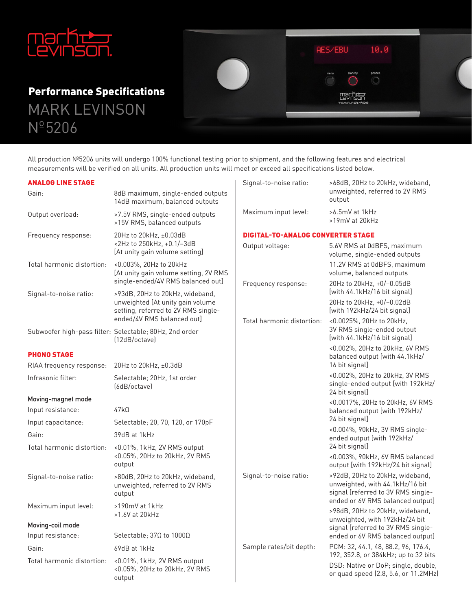

MARK LEVINSON  $N^{\circ}$ 5206 **Performance Specifications** 

All production Nº5206 units will undergo 100% functional testing prior to shipment, and the following features and electrical measurements will be verified on all units. All production units will meet or exceed all specifications listed below.

AES/EBU

 $10.0$ 

 $\circ$ 

| <b>ANALOG LINE STAGE</b>   |                                                                                                      | Signal-to-noise ratio:                   | >68dB, 20Hz to 20kHz, wideband,                                                                                                              |
|----------------------------|------------------------------------------------------------------------------------------------------|------------------------------------------|----------------------------------------------------------------------------------------------------------------------------------------------|
| Gain:                      | 8dB maximum, single-ended outputs<br>14dB maximum, balanced outputs                                  |                                          | unweighted, referred to 2V RMS<br>output                                                                                                     |
| Output overload:           | >7.5V RMS, single-ended outputs<br>>15V RMS, balanced outputs                                        | Maximum input level:                     | >6.5mV at 1kHz<br>>19mV at 20kHz                                                                                                             |
| Frequency response:        | 20Hz to 20kHz, ±0.03dB<br><2Hz to 250kHz, +0.1/-3dB<br>[At unity gain volume setting]                | <b>DIGITAL-TO-ANALOG CONVERTER STAGE</b> |                                                                                                                                              |
|                            |                                                                                                      | Output voltage:                          | 5.6V RMS at 0dBFS, maximum<br>volume, single-ended outputs                                                                                   |
| Total harmonic distortion: | <0.003%, 20Hz to 20kHz<br>[At unity gain volume setting, 2V RMS<br>single-ended/4V RMS balanced out] |                                          | 11.2V RMS at 0dBFS, maximum<br>volume, balanced outputs                                                                                      |
| Signal-to-noise ratio:     | >93dB, 20Hz to 20kHz, wideband,                                                                      | Frequency response:                      | 20Hz to 20kHz, +0/-0.05dB<br>[with 44.1kHz/16 bit signal]                                                                                    |
|                            | unweighted [At unity gain volume<br>setting, referred to 2V RMS single-                              |                                          | 20Hz to 20kHz, +0/-0.02dB<br>[with 192kHz/24 bit signal]                                                                                     |
|                            | ended/4V RMS balanced out]                                                                           | Total harmonic distortion:               | <0.0025%, 20Hz to 20kHz,<br>3V RMS single-ended output                                                                                       |
|                            | Subwoofer high-pass filter: Selectable; 80Hz, 2nd order<br>(12dB/octave)                             |                                          | [with 44.1kHz/16 bit signal]                                                                                                                 |
| <b>PHONO STAGE</b>         |                                                                                                      |                                          | <0.002%, 20Hz to 20kHz, 6V RMS<br>balanced output [with 44.1kHz/                                                                             |
| RIAA frequency response:   | 20Hz to 20kHz, ±0.3dB                                                                                |                                          | 16 bit signal]                                                                                                                               |
| Infrasonic filter:         | Selectable; 20Hz, 1st order<br>[6dB/octave]                                                          |                                          | <0.002%, 20Hz to 20kHz, 3V RMS<br>single-ended output [with 192kHz/<br>24 bit signal]                                                        |
| Moving-magnet mode         |                                                                                                      |                                          | <0.0017%, 20Hz to 20kHz, 6V RMS                                                                                                              |
| Input resistance:          | $47k\Omega$                                                                                          |                                          | balanced output [with 192kHz/                                                                                                                |
| Input capacitance:         | Selectable; 20, 70, 120, or 170pF                                                                    |                                          | 24 bit signal]                                                                                                                               |
| Gain:                      | 39dB at 1kHz                                                                                         |                                          | <0.004%, 90kHz, 3V RMS single-<br>ended output [with 192kHz/                                                                                 |
| Total harmonic distortion: | $<$ 0.01%, 1kHz, 2V RMS output<br><0.05%, 20Hz to 20kHz, 2V RMS<br>output                            |                                          | 24 bit signal]                                                                                                                               |
|                            |                                                                                                      |                                          | <0.003%, 90kHz, 6V RMS balanced<br>output [with 192kHz/24 bit signal]                                                                        |
| Signal-to-noise ratio:     | >80dB, 20Hz to 20kHz, wideband,<br>unweighted, referred to 2V RMS<br>output                          | Signal-to-noise ratio:                   | >92dB, 20Hz to 20kHz, wideband,<br>unweighted, with 44.1kHz/16 bit<br>signal [referred to 3V RMS single-<br>ended or 6V RMS balanced output] |
| Maximum input level:       | >190mV at 1kHz<br>>1.6V at 20kHz                                                                     |                                          | >98dB, 20Hz to 20kHz, wideband,<br>unweighted, with 192kHz/24 bit                                                                            |
| Moving-coil mode           |                                                                                                      |                                          | signal [referred to 3V RMS single-                                                                                                           |
| Input resistance:          | Selectable; 37Ω to 1000Ω                                                                             |                                          | ended or 6V RMS balanced output]                                                                                                             |
| Gain:                      | 69dB at 1kHz                                                                                         | Sample rates/bit depth:                  | PCM: 32, 44.1, 48, 88.2, 96, 176.4,<br>192, 352.8, or 384kHz; up to 32 bits                                                                  |
| Total harmonic distortion: | <0.01%, 1kHz, 2V RMS output<br><0.05%, 20Hz to 20kHz, 2V RMS<br>output                               |                                          | DSD: Native or DoP; single, double,<br>or quad speed (2.8, 5.6, or 11.2MHz)                                                                  |